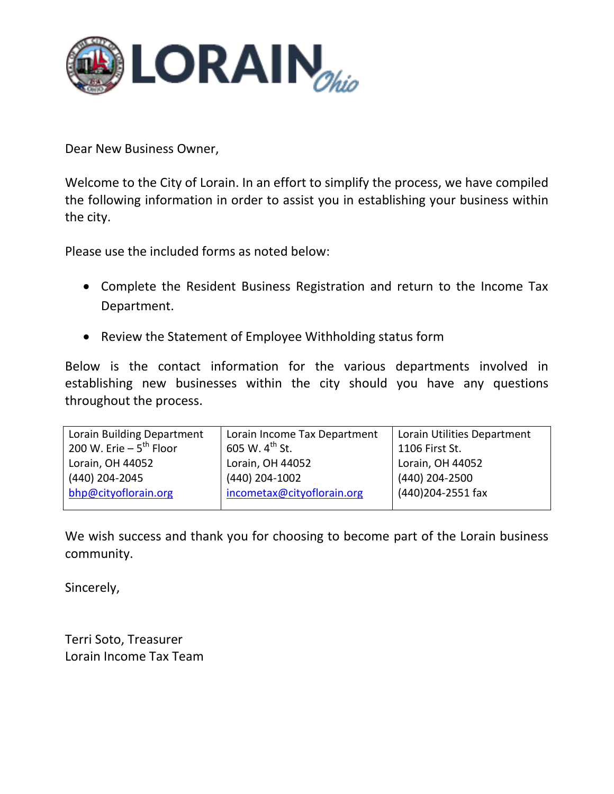

Dear New Business Owner,

Welcome to the City of Lorain. In an effort to simplify the process, we have compiled the following information in order to assist you in establishing your business within the city.

Please use the included forms as noted below:

- Complete the Resident Business Registration and return to the Income Tax Department.
- Review the Statement of Employee Withholding status form

Below is the contact information for the various departments involved in establishing new businesses within the city should you have any questions throughout the process.

| Lorain Building Department  | Lorain Income Tax Department | Lorain Utilities Department |
|-----------------------------|------------------------------|-----------------------------|
| 200 W. Erie $-5^{th}$ Floor | 605 W. $4^{th}$ St.          | 1106 First St.              |
| Lorain, OH 44052            | Lorain, OH 44052             | Lorain, OH 44052            |
| (440) 204-2045              | (440) 204-1002               | (440) 204-2500              |
| bhp@cityoflorain.org        | incometax@cityoflorain.org   | (440)204-2551 fax           |
|                             |                              |                             |

We wish success and thank you for choosing to become part of the Lorain business community.

Sincerely,

Terri Soto, Treasurer Lorain Income Tax Team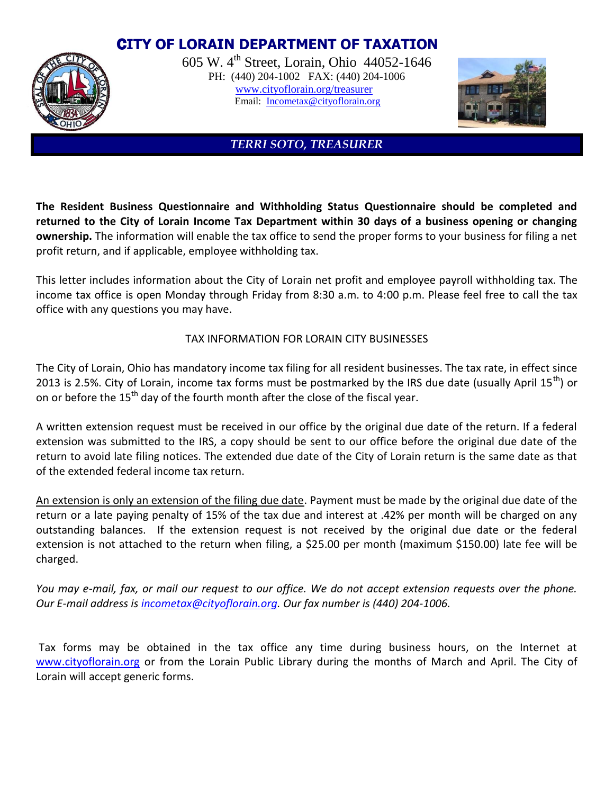# C**ITY OF LORAIN DEPARTMENT OF TAXATION**



605 W. 4th Street, Lorain, Ohio 44052-1646 PH: (440) 204-1002 FAX: (440) 204-1006 [www.cityoflorain.org/treasurer](http://www.cityoflorain.org/treasurer) Email: [Incometax@cityoflorain.org](mailto:Incometax@cityoflorain.org)



### *TERRI SOTO, TREASURER*

**The Resident Business Questionnaire and Withholding Status Questionnaire should be completed and returned to the City of Lorain Income Tax Department within 30 days of a business opening or changing ownership.** The information will enable the tax office to send the proper forms to your business for filing a net profit return, and if applicable, employee withholding tax.

This letter includes information about the City of Lorain net profit and employee payroll withholding tax. The income tax office is open Monday through Friday from 8:30 a.m. to 4:00 p.m. Please feel free to call the tax office with any questions you may have.

### TAX INFORMATION FOR LORAIN CITY BUSINESSES

The City of Lorain, Ohio has mandatory income tax filing for all resident businesses. The tax rate, in effect since 2013 is 2.5%. City of Lorain, income tax forms must be postmarked by the IRS due date (usually April 15<sup>th</sup>) or on or before the  $15<sup>th</sup>$  day of the fourth month after the close of the fiscal year.

A written extension request must be received in our office by the original due date of the return. If a federal extension was submitted to the IRS, a copy should be sent to our office before the original due date of the return to avoid late filing notices. The extended due date of the City of Lorain return is the same date as that of the extended federal income tax return.

An extension is only an extension of the filing due date. Payment must be made by the original due date of the return or a late paying penalty of 15% of the tax due and interest at .42% per month will be charged on any outstanding balances. If the extension request is not received by the original due date or the federal extension is not attached to the return when filing, a \$25.00 per month (maximum \$150.00) late fee will be charged.

*You may e-mail, fax, or mail our request to our office. We do not accept extension requests over the phone. Our E-mail address is [incometax@cityoflorain.org.](mailto:incometax@cityoflorain.org) Our fax number is (440) 204-1006.*

Tax forms may be obtained in the tax office any time during business hours, on the Internet at [www.cityoflorain.org](http://www.cityoflorain.org/) or from the Lorain Public Library during the months of March and April. The City of Lorain will accept generic forms.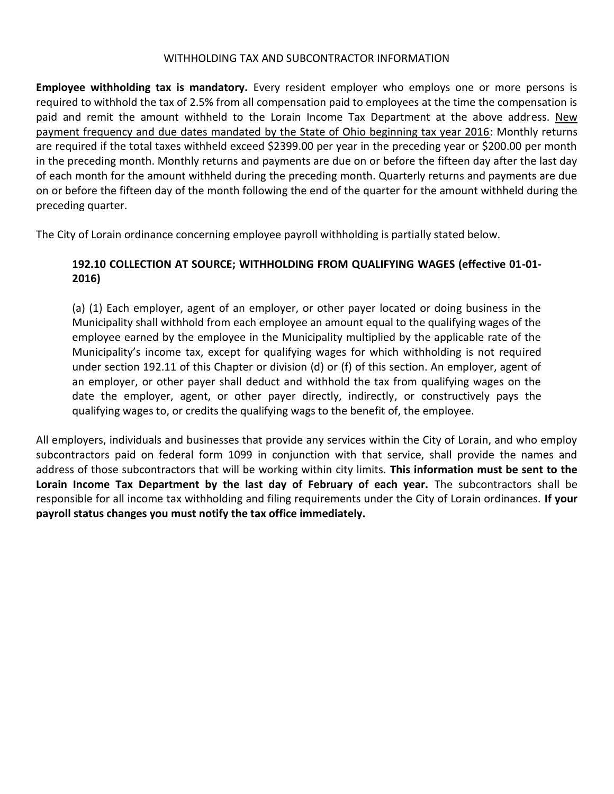#### WITHHOLDING TAX AND SUBCONTRACTOR INFORMATION

**Employee withholding tax is mandatory.** Every resident employer who employs one or more persons is required to withhold the tax of 2.5% from all compensation paid to employees at the time the compensation is paid and remit the amount withheld to the Lorain Income Tax Department at the above address. New payment frequency and due dates mandated by the State of Ohio beginning tax year 2016: Monthly returns are required if the total taxes withheld exceed \$2399.00 per year in the preceding year or \$200.00 per month in the preceding month. Monthly returns and payments are due on or before the fifteen day after the last day of each month for the amount withheld during the preceding month. Quarterly returns and payments are due on or before the fifteen day of the month following the end of the quarter for the amount withheld during the preceding quarter.

The City of Lorain ordinance concerning employee payroll withholding is partially stated below.

## **192.10 COLLECTION AT SOURCE; WITHHOLDING FROM QUALIFYING WAGES (effective 01-01- 2016)**

(a) (1) Each employer, agent of an employer, or other payer located or doing business in the Municipality shall withhold from each employee an amount equal to the qualifying wages of the employee earned by the employee in the Municipality multiplied by the applicable rate of the Municipality's income tax, except for qualifying wages for which withholding is not required under section 192.11 of this Chapter or division (d) or (f) of this section. An employer, agent of an employer, or other payer shall deduct and withhold the tax from qualifying wages on the date the employer, agent, or other payer directly, indirectly, or constructively pays the qualifying wages to, or credits the qualifying wags to the benefit of, the employee.

All employers, individuals and businesses that provide any services within the City of Lorain, and who employ subcontractors paid on federal form 1099 in conjunction with that service, shall provide the names and address of those subcontractors that will be working within city limits. **This information must be sent to the Lorain Income Tax Department by the last day of February of each year.** The subcontractors shall be responsible for all income tax withholding and filing requirements under the City of Lorain ordinances. **If your payroll status changes you must notify the tax office immediately.**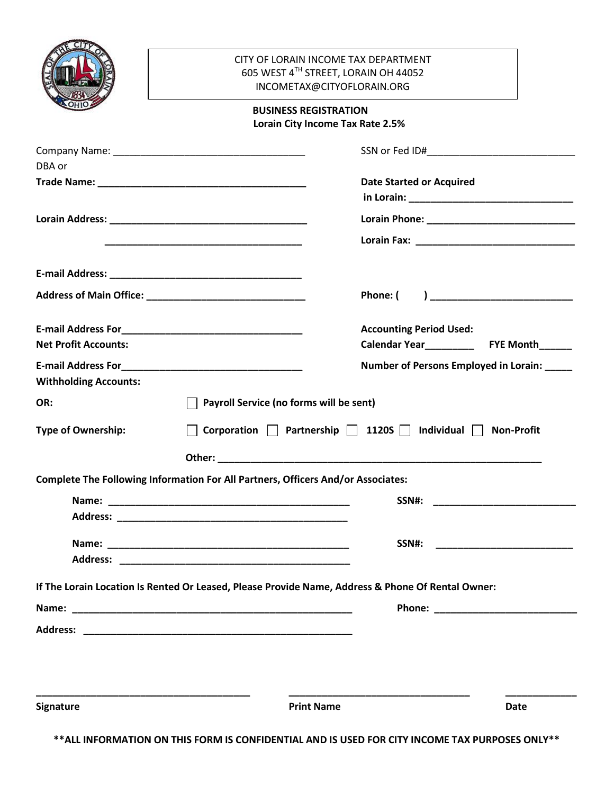|                              | CITY OF LORAIN INCOME TAX DEPARTMENT<br>605 WEST 4TH STREET, LORAIN OH 44052                                          |                                                                                                                                                                                                                                |                                             |  |  |  |  |
|------------------------------|-----------------------------------------------------------------------------------------------------------------------|--------------------------------------------------------------------------------------------------------------------------------------------------------------------------------------------------------------------------------|---------------------------------------------|--|--|--|--|
|                              | INCOMETAX@CITYOFLORAIN.ORG                                                                                            |                                                                                                                                                                                                                                |                                             |  |  |  |  |
|                              |                                                                                                                       | <b>BUSINESS REGISTRATION</b><br>Lorain City Income Tax Rate 2.5%                                                                                                                                                               |                                             |  |  |  |  |
|                              |                                                                                                                       |                                                                                                                                                                                                                                |                                             |  |  |  |  |
| DBA or                       |                                                                                                                       |                                                                                                                                                                                                                                |                                             |  |  |  |  |
|                              |                                                                                                                       | <b>Date Started or Acquired</b>                                                                                                                                                                                                |                                             |  |  |  |  |
|                              |                                                                                                                       |                                                                                                                                                                                                                                |                                             |  |  |  |  |
|                              |                                                                                                                       |                                                                                                                                                                                                                                |                                             |  |  |  |  |
|                              |                                                                                                                       |                                                                                                                                                                                                                                |                                             |  |  |  |  |
|                              | <u> 1989 - Johann John Stein, markin film yn y brening yn y brening yn y brening yn y brening yn y brening yn y b</u> |                                                                                                                                                                                                                                |                                             |  |  |  |  |
|                              |                                                                                                                       |                                                                                                                                                                                                                                |                                             |  |  |  |  |
|                              |                                                                                                                       | Phone: (                                                                                                                                                                                                                       |                                             |  |  |  |  |
|                              |                                                                                                                       | <b>Accounting Period Used:</b>                                                                                                                                                                                                 |                                             |  |  |  |  |
| <b>Net Profit Accounts:</b>  |                                                                                                                       |                                                                                                                                                                                                                                |                                             |  |  |  |  |
|                              |                                                                                                                       |                                                                                                                                                                                                                                | Number of Persons Employed in Lorain: _____ |  |  |  |  |
| <b>Withholding Accounts:</b> |                                                                                                                       |                                                                                                                                                                                                                                |                                             |  |  |  |  |
| OR:                          |                                                                                                                       | $\Box$ Payroll Service (no forms will be sent)                                                                                                                                                                                 |                                             |  |  |  |  |
| <b>Type of Ownership:</b>    | Corporation $\Box$ Partnership $\Box$ 1120S $\Box$ Individual $\Box$ Non-Profit                                       |                                                                                                                                                                                                                                |                                             |  |  |  |  |
|                              |                                                                                                                       | Other: with the contract of the contract of the contract of the contract of the contract of the contract of the contract of the contract of the contract of the contract of the contract of the contract of the contract of th |                                             |  |  |  |  |
|                              | <b>Complete The Following Information For All Partners, Officers And/or Associates:</b>                               |                                                                                                                                                                                                                                |                                             |  |  |  |  |
|                              |                                                                                                                       | SSN#:                                                                                                                                                                                                                          |                                             |  |  |  |  |
|                              |                                                                                                                       |                                                                                                                                                                                                                                |                                             |  |  |  |  |
|                              |                                                                                                                       |                                                                                                                                                                                                                                |                                             |  |  |  |  |
|                              |                                                                                                                       | SSN#:                                                                                                                                                                                                                          |                                             |  |  |  |  |
|                              |                                                                                                                       |                                                                                                                                                                                                                                |                                             |  |  |  |  |
|                              |                                                                                                                       | If The Lorain Location Is Rented Or Leased, Please Provide Name, Address & Phone Of Rental Owner:                                                                                                                              |                                             |  |  |  |  |
|                              |                                                                                                                       |                                                                                                                                                                                                                                |                                             |  |  |  |  |
|                              |                                                                                                                       |                                                                                                                                                                                                                                |                                             |  |  |  |  |
|                              |                                                                                                                       |                                                                                                                                                                                                                                |                                             |  |  |  |  |
|                              |                                                                                                                       |                                                                                                                                                                                                                                |                                             |  |  |  |  |
|                              |                                                                                                                       |                                                                                                                                                                                                                                |                                             |  |  |  |  |
| Signature                    |                                                                                                                       | <b>Print Name</b>                                                                                                                                                                                                              | <b>Date</b>                                 |  |  |  |  |

**\*\*ALL INFORMATION ON THIS FORM IS CONFIDENTIAL AND IS USED FOR CITY INCOME TAX PURPOSES ONLY\*\***